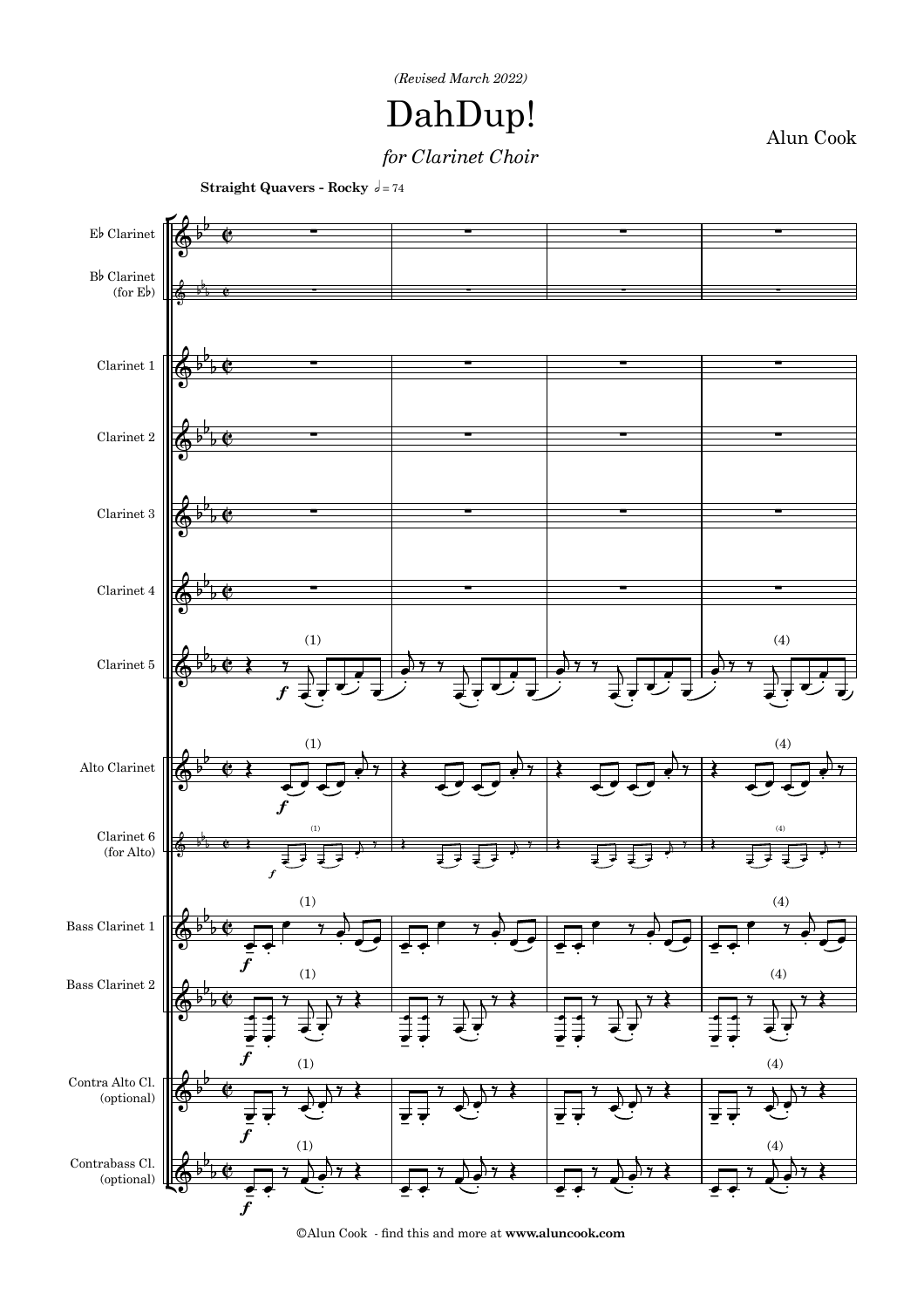

## DahDup!

Alun Cook

## *for Clarinet Choir*



**Straight Quavers - Rocky**  $d = 74$ 

©Alun Cook - &nd this and more at **www.aluncook.com**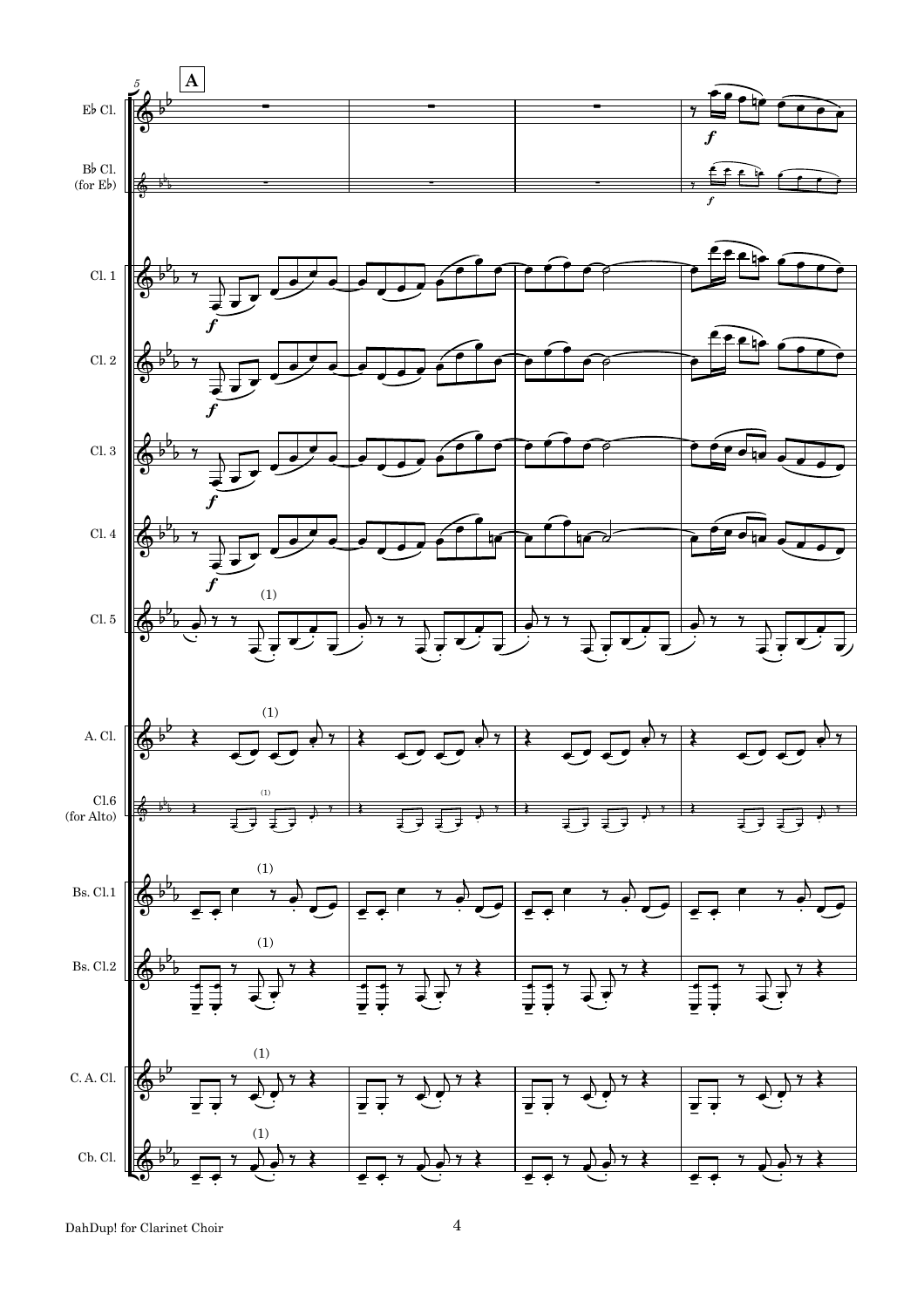

DahDup! for Clarinet Choir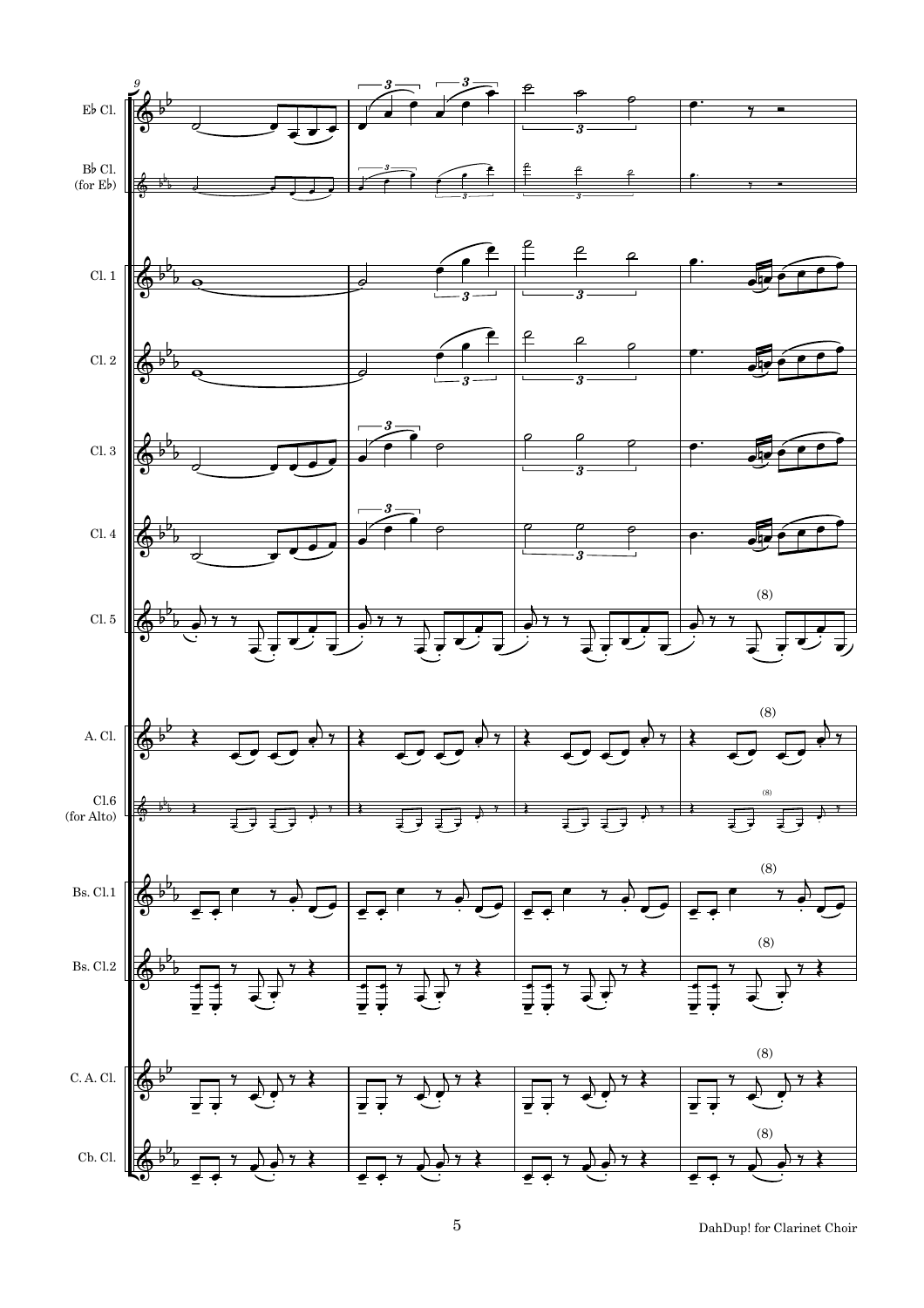